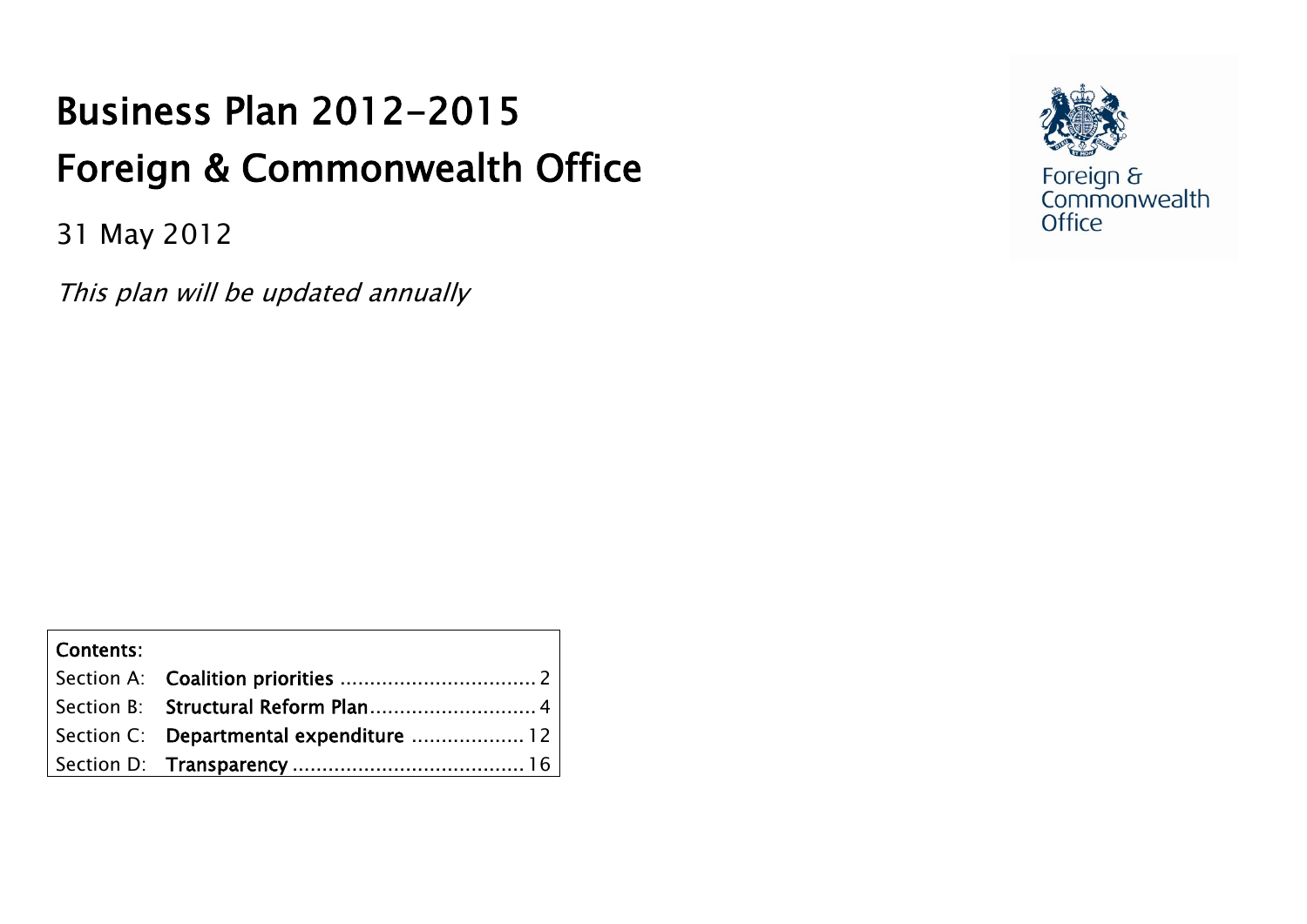# Business Plan 2012-2015 Foreign & Commonwealth Office

31 May 2012

This plan will be updated annually



Foreign &<br>Commonwealth<br>Office

<span id="page-0-0"></span>

| Contents: |                                         |  |
|-----------|-----------------------------------------|--|
|           |                                         |  |
|           |                                         |  |
|           | Section C: Departmental expenditure  12 |  |
|           |                                         |  |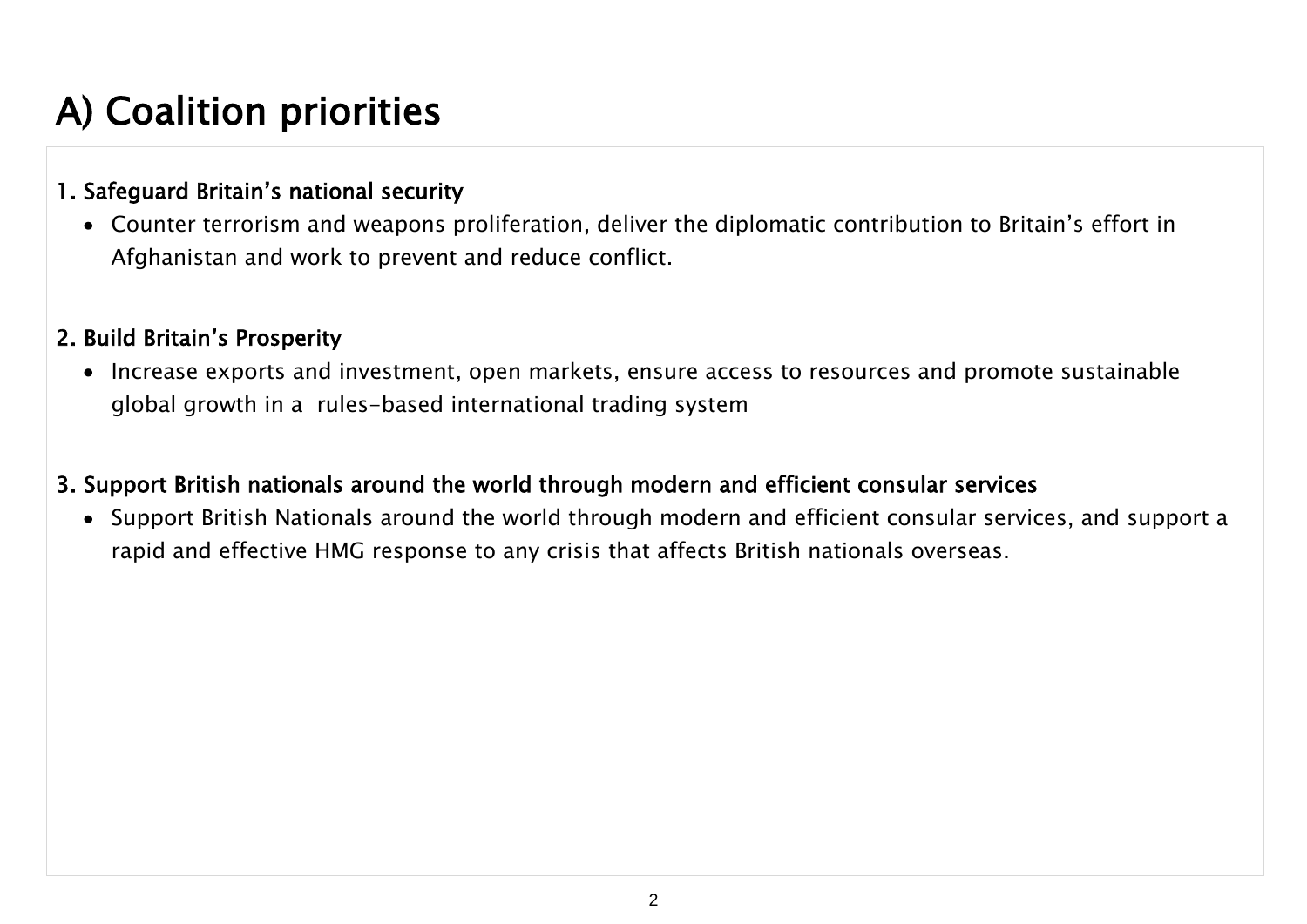# A) Coalition priorities

#### 1. Safeguard Britain's national security

Counter terrorism and weapons proliferation, deliver the diplomatic contribution to Britain's effort in Afghanistan and work to prevent and reduce conflict.

#### 2. Build Britain's Prosperity

• Increase exports and investment, open markets, ensure access to resources and promote sustainable global growth in a rules-based international trading system

#### 3. Support British nationals around the world through modern and efficient consular services

Support British Nationals around the world through modern and efficient consular services, and support a rapid and effective HMG response to any crisis that affects British nationals overseas.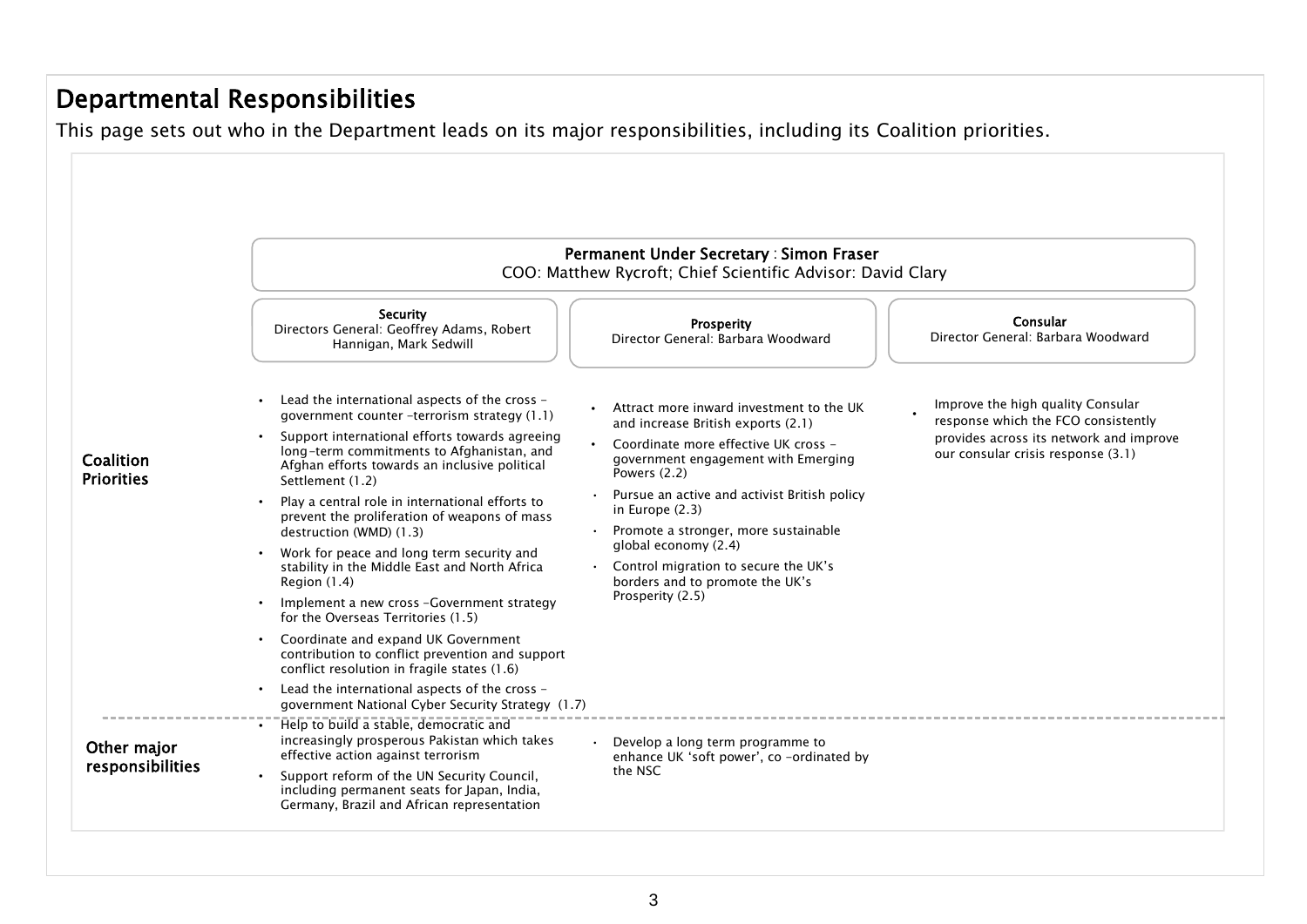### Departmental Responsibilities

This page sets out who in the Department leads on its major responsibilities, including its Coalition priorities.

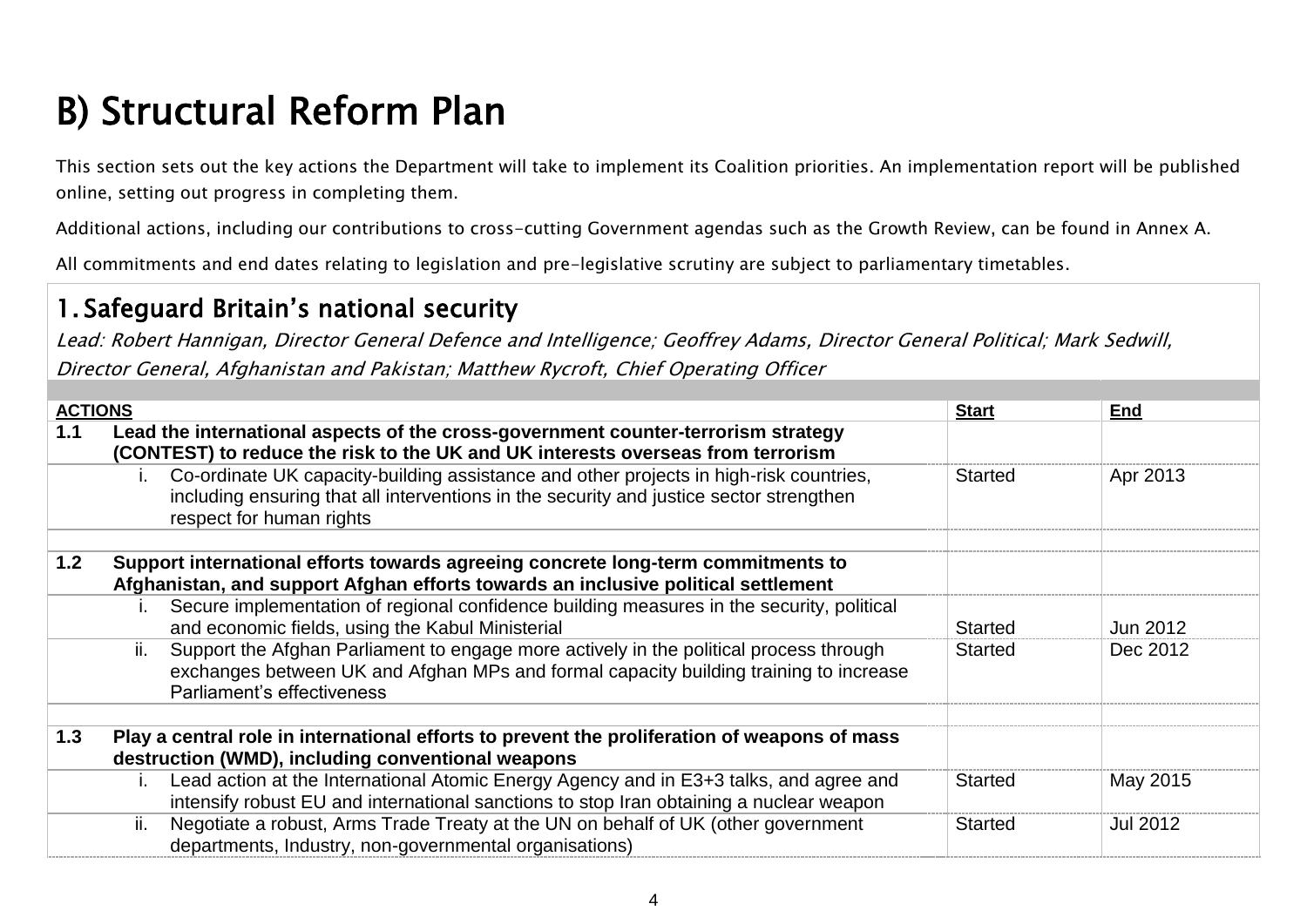# <span id="page-3-0"></span>B) Structural Reform Plan

This section sets out the key actions the Department will take to implement its Coalition priorities. An implementation report will be published online, setting out progress in completing them.

Additional actions, including our contributions to cross-cutting Government agendas such as the Growth Review, can be found in Annex A.

All commitments and end dates relating to legislation and pre-legislative scrutiny are subject to parliamentary timetables.

### 1. Safeguard Britain's national security

| <b>ACTIONS</b> |     |                                                                                                                                                                                                               | <b>Start</b>   | End      |
|----------------|-----|---------------------------------------------------------------------------------------------------------------------------------------------------------------------------------------------------------------|----------------|----------|
| 1.1            |     | Lead the international aspects of the cross-government counter-terrorism strategy<br>(CONTEST) to reduce the risk to the UK and UK interests overseas from terrorism                                          |                |          |
|                |     | Co-ordinate UK capacity-building assistance and other projects in high-risk countries,<br>including ensuring that all interventions in the security and justice sector strengthen<br>respect for human rights | <b>Started</b> | Apr 2013 |
| 1.2            |     | Support international efforts towards agreeing concrete long-term commitments to<br>Afghanistan, and support Afghan efforts towards an inclusive political settlement                                         |                |          |
|                |     | Secure implementation of regional confidence building measures in the security, political<br>and economic fields, using the Kabul Ministerial                                                                 | <b>Started</b> | Jun 2012 |
|                | ii. | Support the Afghan Parliament to engage more actively in the political process through<br>exchanges between UK and Afghan MPs and formal capacity building training to increase<br>Parliament's effectiveness | <b>Started</b> | Dec 2012 |
|                |     |                                                                                                                                                                                                               |                |          |
| 1.3            |     | Play a central role in international efforts to prevent the proliferation of weapons of mass                                                                                                                  |                |          |
|                |     | destruction (WMD), including conventional weapons                                                                                                                                                             |                |          |
|                |     | Lead action at the International Atomic Energy Agency and in E3+3 talks, and agree and<br>intensify robust EU and international sanctions to stop Iran obtaining a nuclear weapon                             | <b>Started</b> | May 2015 |
|                | ii. | Negotiate a robust, Arms Trade Treaty at the UN on behalf of UK (other government<br>departments, Industry, non-governmental organisations)                                                                   | <b>Started</b> | Jul 2012 |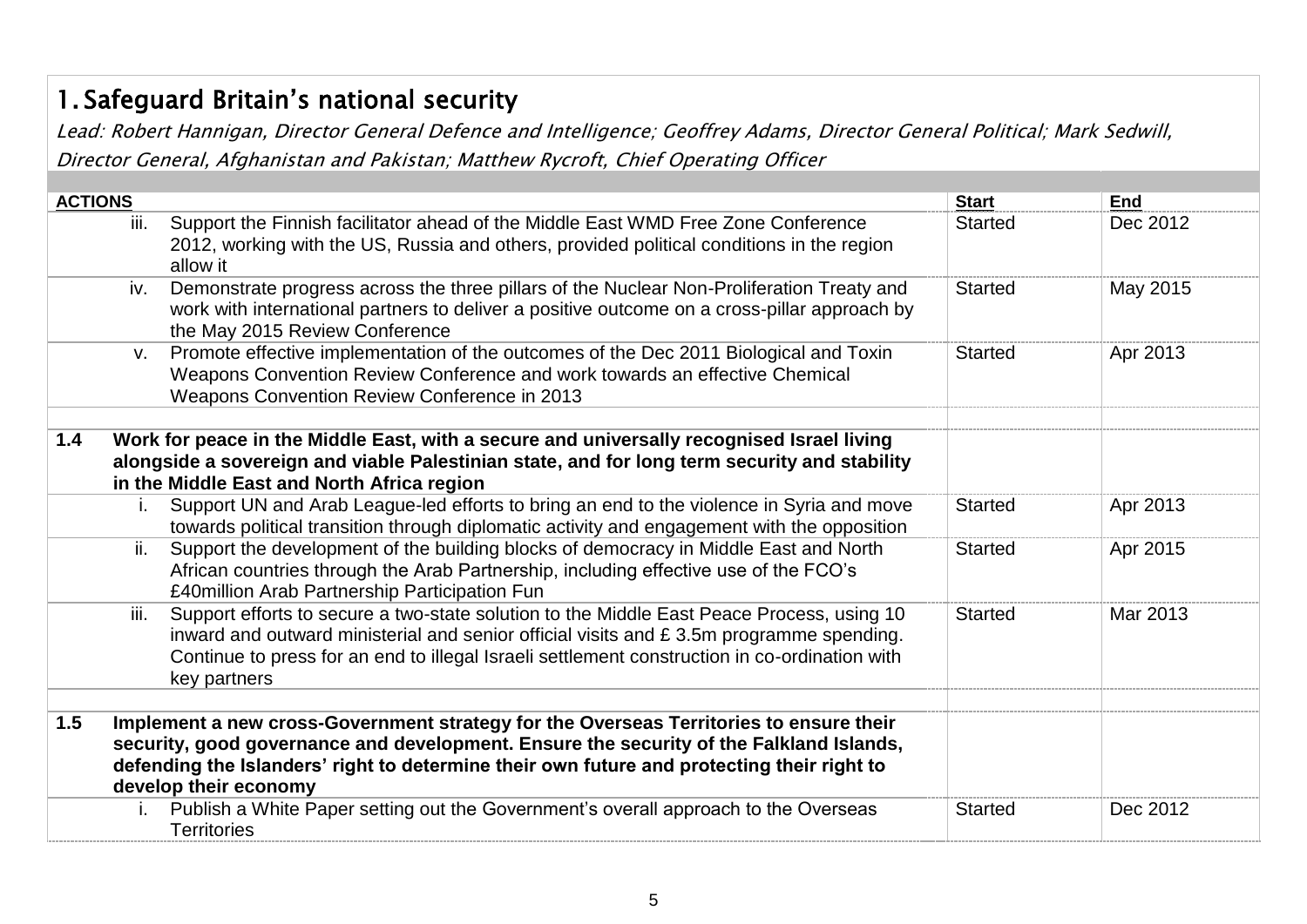# 1. Safeguard Britain's national security

| <b>ACTIONS</b> |                                                                                                                                                                                                                                                                                                               | <b>Start</b>   | <b>End</b> |
|----------------|---------------------------------------------------------------------------------------------------------------------------------------------------------------------------------------------------------------------------------------------------------------------------------------------------------------|----------------|------------|
|                | Support the Finnish facilitator ahead of the Middle East WMD Free Zone Conference<br>iii.<br>2012, working with the US, Russia and others, provided political conditions in the region<br>allow it                                                                                                            | <b>Started</b> | Dec 2012   |
|                | Demonstrate progress across the three pillars of the Nuclear Non-Proliferation Treaty and<br>iv.<br>work with international partners to deliver a positive outcome on a cross-pillar approach by<br>the May 2015 Review Conference                                                                            | <b>Started</b> | May 2015   |
|                | Promote effective implementation of the outcomes of the Dec 2011 Biological and Toxin<br>$V_{\cdot}$<br>Weapons Convention Review Conference and work towards an effective Chemical<br>Weapons Convention Review Conference in 2013                                                                           | <b>Started</b> | Apr 2013   |
| 1.4            | Work for peace in the Middle East, with a secure and universally recognised Israel living<br>alongside a sovereign and viable Palestinian state, and for long term security and stability<br>in the Middle East and North Africa region                                                                       |                |            |
|                | Support UN and Arab League-led efforts to bring an end to the violence in Syria and move<br>i.<br>towards political transition through diplomatic activity and engagement with the opposition                                                                                                                 | <b>Started</b> | Apr 2013   |
|                | Support the development of the building blocks of democracy in Middle East and North<br>ii.<br>African countries through the Arab Partnership, including effective use of the FCO's<br>£40million Arab Partnership Participation Fun                                                                          | <b>Started</b> | Apr 2015   |
|                | Support efforts to secure a two-state solution to the Middle East Peace Process, using 10<br>iii.<br>inward and outward ministerial and senior official visits and £3.5m programme spending.<br>Continue to press for an end to illegal Israeli settlement construction in co-ordination with<br>key partners | <b>Started</b> | Mar 2013   |
| 1.5            | Implement a new cross-Government strategy for the Overseas Territories to ensure their<br>security, good governance and development. Ensure the security of the Falkland Islands,<br>defending the Islanders' right to determine their own future and protecting their right to<br>develop their economy      |                |            |
|                | Publish a White Paper setting out the Government's overall approach to the Overseas<br>$\mathbf{L}$<br><b>Territories</b>                                                                                                                                                                                     | <b>Started</b> | Dec 2012   |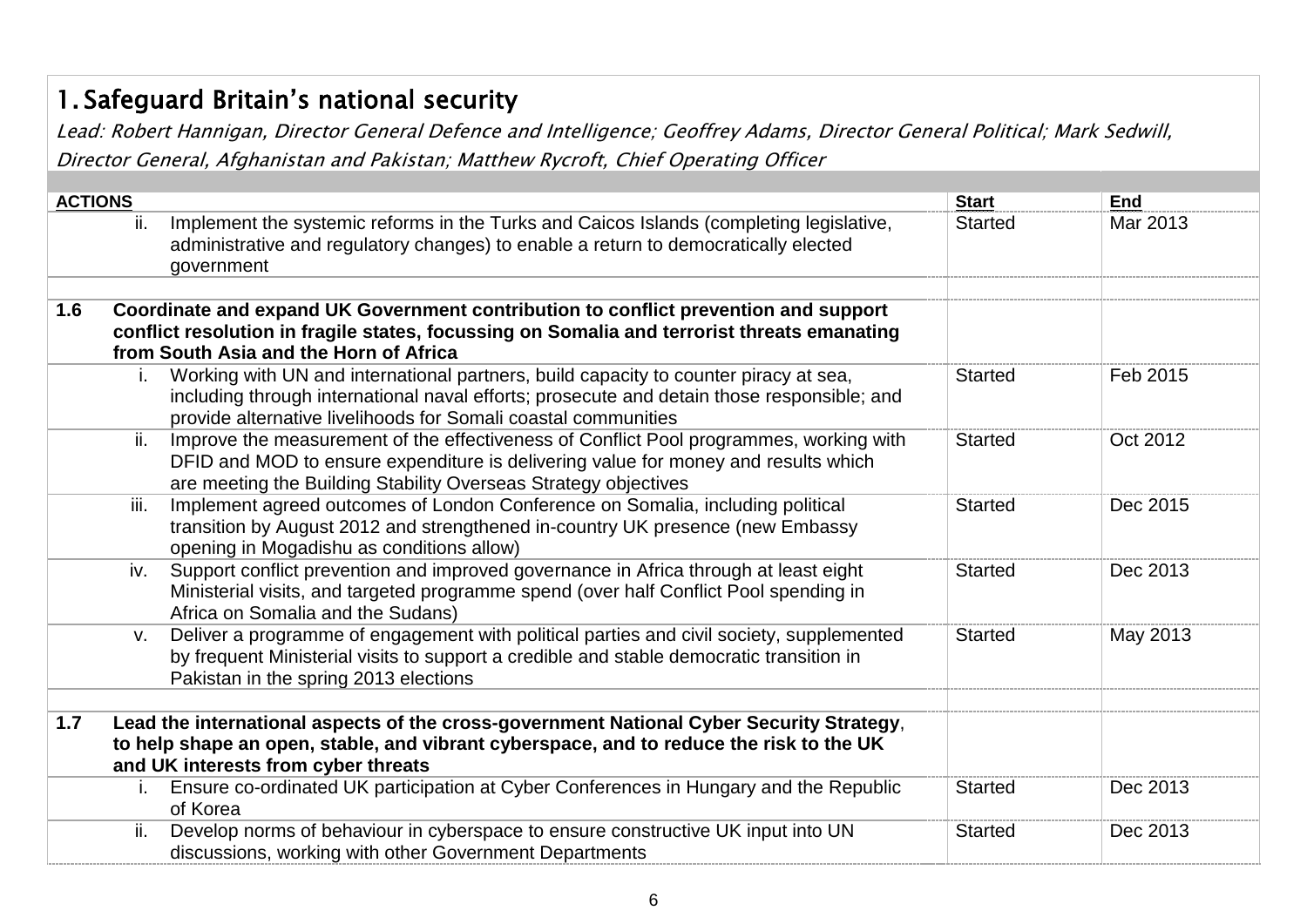# 1. Safeguard Britain's national security

| <b>ACTIONS</b> |                                                                                                                                                                                                                                                            | <b>Start</b>   | <b>End</b> |
|----------------|------------------------------------------------------------------------------------------------------------------------------------------------------------------------------------------------------------------------------------------------------------|----------------|------------|
|                | Implement the systemic reforms in the Turks and Caicos Islands (completing legislative,<br>ii.<br>administrative and regulatory changes) to enable a return to democratically elected<br>government                                                        | <b>Started</b> | Mar 2013   |
| 1.6            | Coordinate and expand UK Government contribution to conflict prevention and support<br>conflict resolution in fragile states, focussing on Somalia and terrorist threats emanating<br>from South Asia and the Horn of Africa                               |                |            |
|                | Working with UN and international partners, build capacity to counter piracy at sea,<br>i.<br>including through international naval efforts; prosecute and detain those responsible; and<br>provide alternative livelihoods for Somali coastal communities | <b>Started</b> | Feb 2015   |
|                | ii.<br>Improve the measurement of the effectiveness of Conflict Pool programmes, working with<br>DFID and MOD to ensure expenditure is delivering value for money and results which<br>are meeting the Building Stability Overseas Strategy objectives     | <b>Started</b> | Oct 2012   |
|                | Implement agreed outcomes of London Conference on Somalia, including political<br>iii.<br>transition by August 2012 and strengthened in-country UK presence (new Embassy<br>opening in Mogadishu as conditions allow)                                      | <b>Started</b> | Dec 2015   |
|                | Support conflict prevention and improved governance in Africa through at least eight<br>iv.<br>Ministerial visits, and targeted programme spend (over half Conflict Pool spending in<br>Africa on Somalia and the Sudans)                                  | <b>Started</b> | Dec 2013   |
|                | Deliver a programme of engagement with political parties and civil society, supplemented<br>V.<br>by frequent Ministerial visits to support a credible and stable democratic transition in<br>Pakistan in the spring 2013 elections                        | <b>Started</b> | May 2013   |
| 1.7            | Lead the international aspects of the cross-government National Cyber Security Strategy,<br>to help shape an open, stable, and vibrant cyberspace, and to reduce the risk to the UK<br>and UK interests from cyber threats                                 |                |            |
|                | Ensure co-ordinated UK participation at Cyber Conferences in Hungary and the Republic<br>i.<br>of Korea                                                                                                                                                    | <b>Started</b> | Dec 2013   |
|                | ii.<br>Develop norms of behaviour in cyberspace to ensure constructive UK input into UN<br>discussions, working with other Government Departments                                                                                                          | <b>Started</b> | Dec 2013   |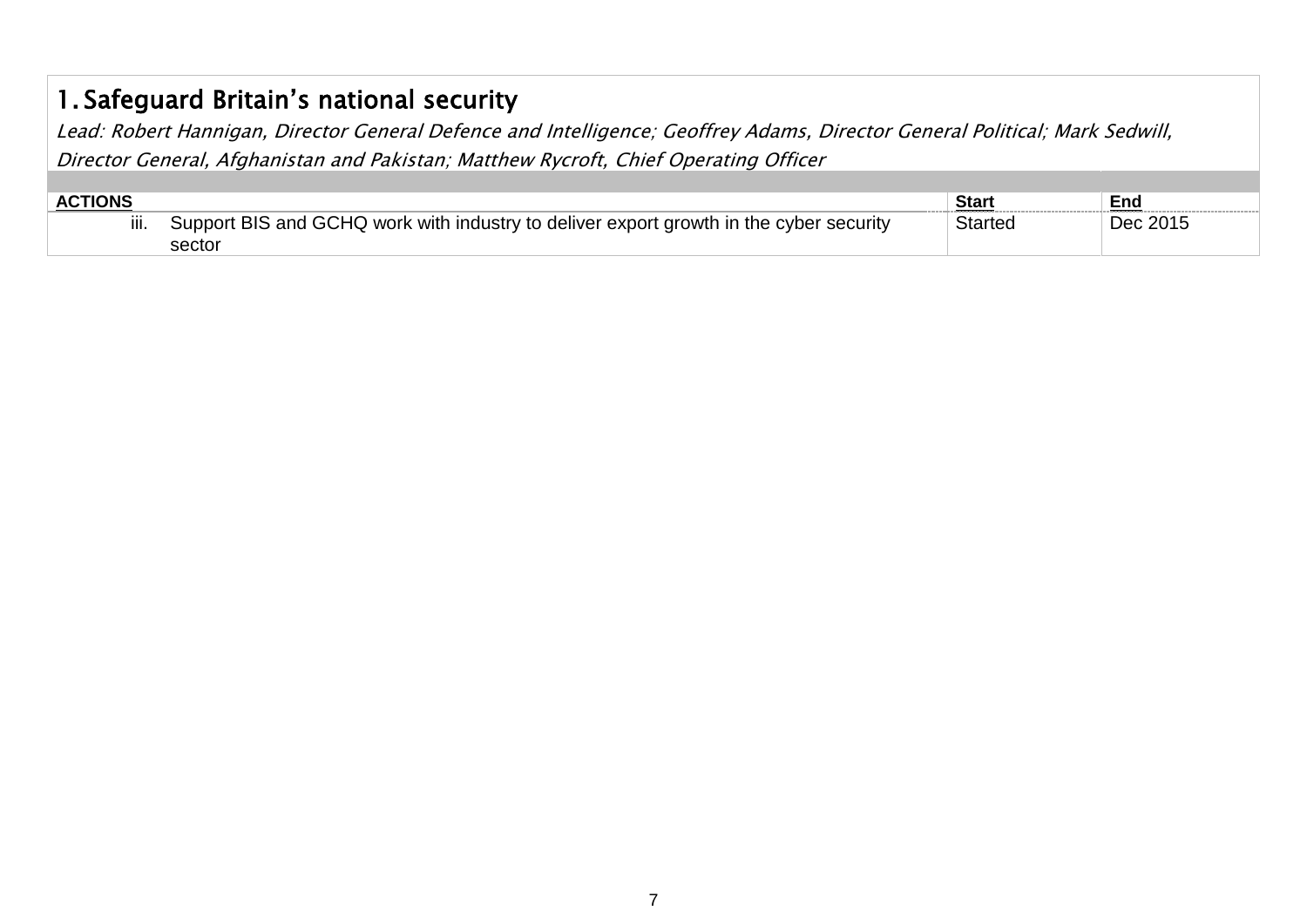## 1. Safeguard Britain's national security

| <b>ACTIONS</b> |                                                                                        | Star    | End      |
|----------------|----------------------------------------------------------------------------------------|---------|----------|
| iii.           | Support BIS and GCHQ work with industry to deliver export growth in the cyber security | Started | Dec 2015 |
|                | sector                                                                                 |         |          |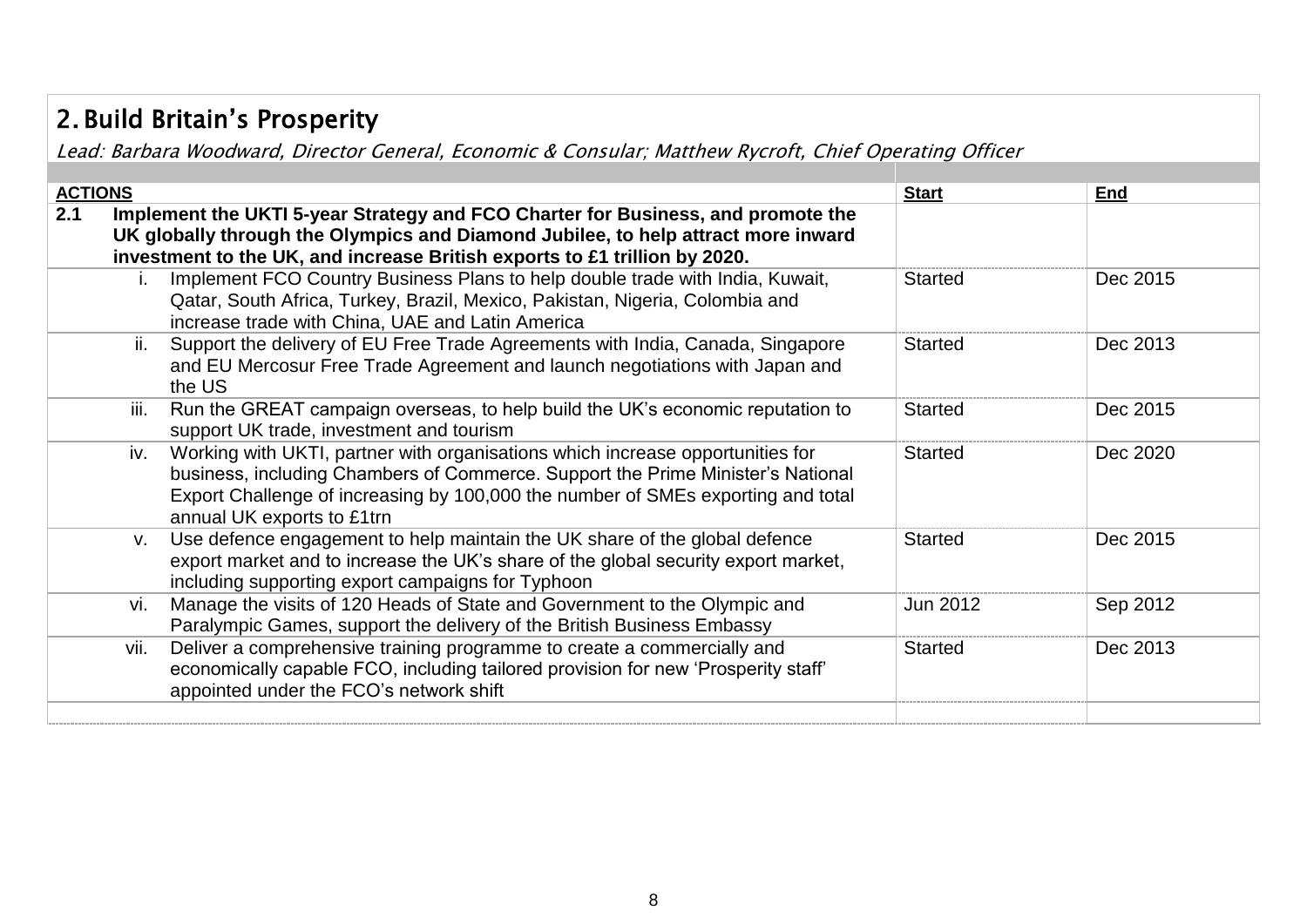## 2. Build Britain's Prosperity

Lead: Barbara Woodward, Director General, Economic & Consular; Matthew Rycroft, Chief Operating Officer

| <b>ACTIONS</b> |                                                                                                                                                                                                                                                                                            | <b>Start</b>   | End      |
|----------------|--------------------------------------------------------------------------------------------------------------------------------------------------------------------------------------------------------------------------------------------------------------------------------------------|----------------|----------|
| 2.1            | Implement the UKTI 5-year Strategy and FCO Charter for Business, and promote the<br>UK globally through the Olympics and Diamond Jubilee, to help attract more inward<br>investment to the UK, and increase British exports to £1 trillion by 2020.                                        |                |          |
|                | Implement FCO Country Business Plans to help double trade with India, Kuwait,<br>Qatar, South Africa, Turkey, Brazil, Mexico, Pakistan, Nigeria, Colombia and<br>increase trade with China, UAE and Latin America                                                                          | <b>Started</b> | Dec 2015 |
|                | Support the delivery of EU Free Trade Agreements with India, Canada, Singapore<br>ii.<br>and EU Mercosur Free Trade Agreement and launch negotiations with Japan and<br>the US                                                                                                             | <b>Started</b> | Dec 2013 |
|                | Run the GREAT campaign overseas, to help build the UK's economic reputation to<br>iii.<br>support UK trade, investment and tourism                                                                                                                                                         | Started        | Dec 2015 |
|                | Working with UKTI, partner with organisations which increase opportunities for<br>iv.<br>business, including Chambers of Commerce. Support the Prime Minister's National<br>Export Challenge of increasing by 100,000 the number of SMEs exporting and total<br>annual UK exports to £1trn | <b>Started</b> | Dec 2020 |
|                | Use defence engagement to help maintain the UK share of the global defence<br>V.<br>export market and to increase the UK's share of the global security export market,<br>including supporting export campaigns for Typhoon                                                                | <b>Started</b> | Dec 2015 |
|                | Manage the visits of 120 Heads of State and Government to the Olympic and<br>vi.<br>Paralympic Games, support the delivery of the British Business Embassy                                                                                                                                 | Jun 2012       | Sep 2012 |
|                | Deliver a comprehensive training programme to create a commercially and<br>vii.<br>economically capable FCO, including tailored provision for new 'Prosperity staff'<br>appointed under the FCO's network shift                                                                            | <b>Started</b> | Dec 2013 |
|                |                                                                                                                                                                                                                                                                                            |                |          |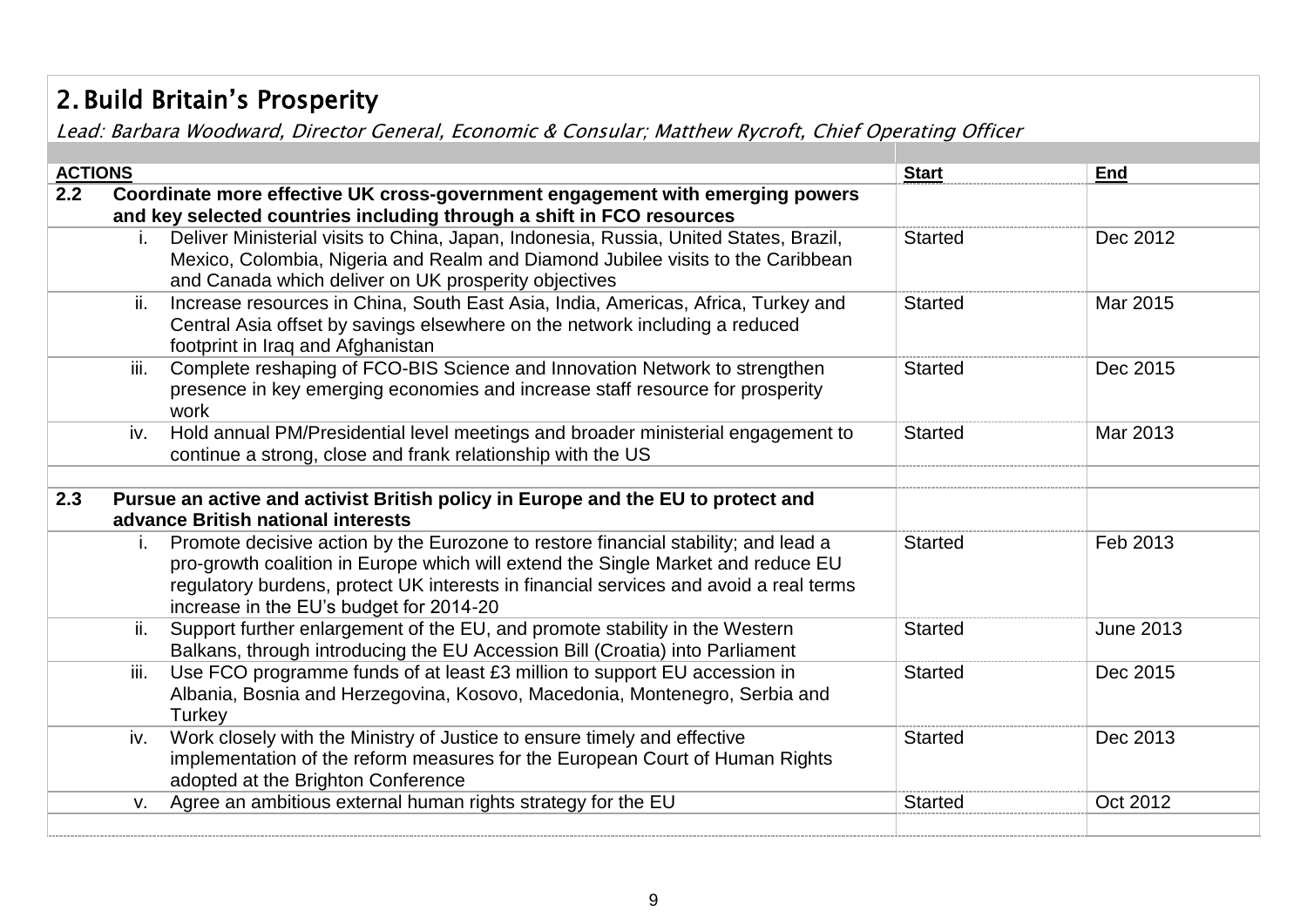# 2. Build Britain's Prosperity

Lead: Barbara Woodward, Director General, Economic & Consular; Matthew Rycroft, Chief Operating Officer

| <b>ACTIONS</b> |      |                                                                                       | <b>Start</b>   | End              |
|----------------|------|---------------------------------------------------------------------------------------|----------------|------------------|
| 2.2            |      | Coordinate more effective UK cross-government engagement with emerging powers         |                |                  |
|                |      | and key selected countries including through a shift in FCO resources                 |                |                  |
|                |      | Deliver Ministerial visits to China, Japan, Indonesia, Russia, United States, Brazil, | <b>Started</b> | Dec 2012         |
|                |      | Mexico, Colombia, Nigeria and Realm and Diamond Jubilee visits to the Caribbean       |                |                  |
|                |      | and Canada which deliver on UK prosperity objectives                                  |                |                  |
|                | ii.  | Increase resources in China, South East Asia, India, Americas, Africa, Turkey and     | <b>Started</b> | Mar 2015         |
|                |      | Central Asia offset by savings elsewhere on the network including a reduced           |                |                  |
|                |      | footprint in Iraq and Afghanistan                                                     |                |                  |
|                | iii. | Complete reshaping of FCO-BIS Science and Innovation Network to strengthen            | <b>Started</b> | Dec 2015         |
|                |      | presence in key emerging economies and increase staff resource for prosperity         |                |                  |
|                |      | work                                                                                  |                |                  |
|                | iv.  | Hold annual PM/Presidential level meetings and broader ministerial engagement to      | <b>Started</b> | Mar 2013         |
|                |      | continue a strong, close and frank relationship with the US                           |                |                  |
|                |      |                                                                                       |                |                  |
| 2.3            |      | Pursue an active and activist British policy in Europe and the EU to protect and      |                |                  |
|                |      | advance British national interests                                                    |                |                  |
|                |      | Promote decisive action by the Eurozone to restore financial stability; and lead a    | <b>Started</b> | Feb 2013         |
|                |      | pro-growth coalition in Europe which will extend the Single Market and reduce EU      |                |                  |
|                |      | regulatory burdens, protect UK interests in financial services and avoid a real terms |                |                  |
|                |      | increase in the EU's budget for 2014-20                                               |                |                  |
|                | ii.  | Support further enlargement of the EU, and promote stability in the Western           | <b>Started</b> | <b>June 2013</b> |
|                |      | Balkans, through introducing the EU Accession Bill (Croatia) into Parliament          |                |                  |
|                | iii. | Use FCO programme funds of at least £3 million to support EU accession in             | <b>Started</b> | Dec 2015         |
|                |      | Albania, Bosnia and Herzegovina, Kosovo, Macedonia, Montenegro, Serbia and            |                |                  |
|                |      | Turkey                                                                                |                |                  |
|                | iv.  | Work closely with the Ministry of Justice to ensure timely and effective              | <b>Started</b> | Dec 2013         |
|                |      | implementation of the reform measures for the European Court of Human Rights          |                |                  |
|                |      | adopted at the Brighton Conference                                                    |                |                  |
|                | v.   | Agree an ambitious external human rights strategy for the EU                          | <b>Started</b> | Oct 2012         |
|                |      |                                                                                       |                |                  |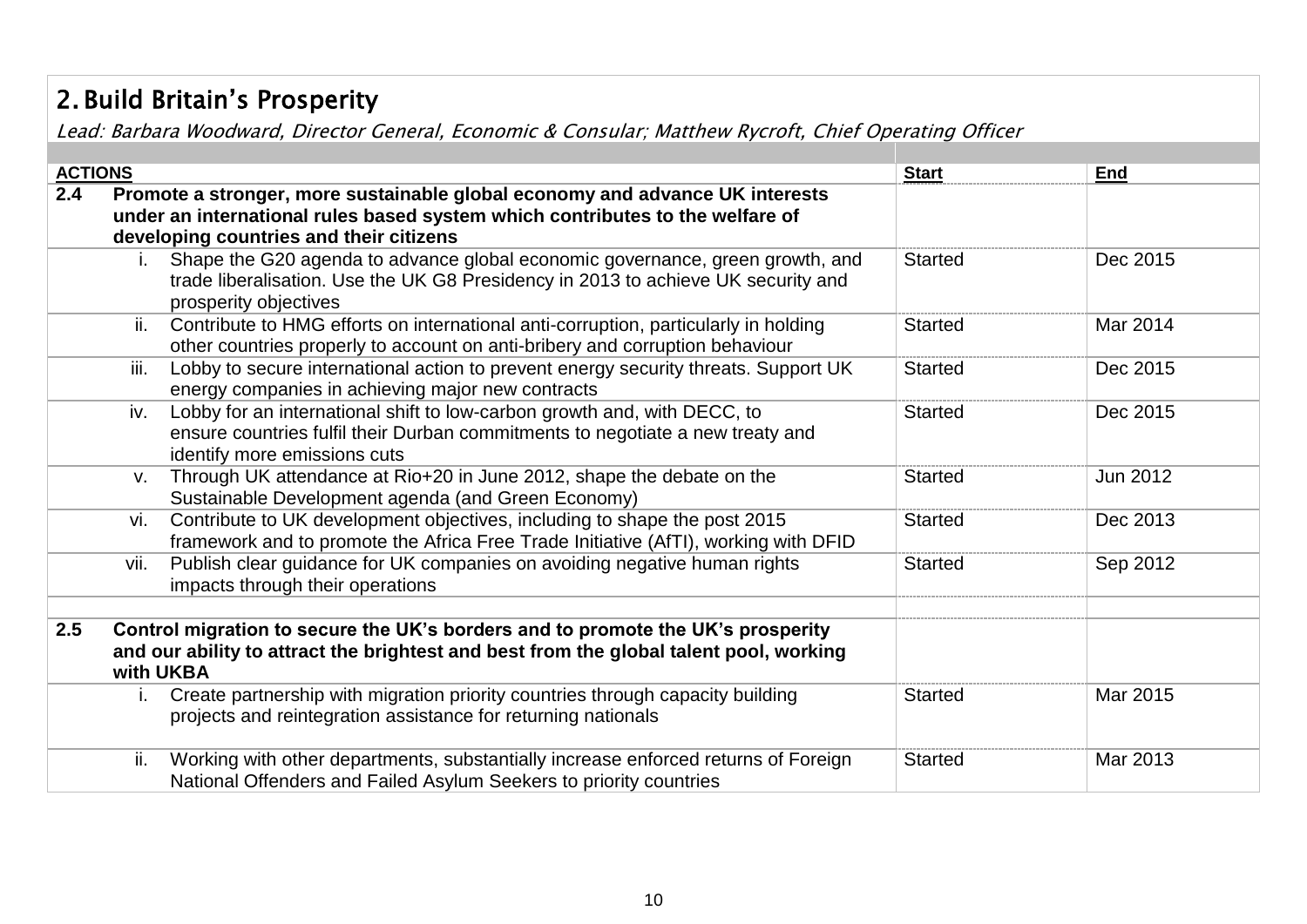# 2. Build Britain's Prosperity

Lead: Barbara Woodward, Director General, Economic & Consular; Matthew Rycroft, Chief Operating Officer

| <b>ACTIONS</b> |             |                                                                                                                                                                                                          | <b>Start</b>   | <b>End</b> |
|----------------|-------------|----------------------------------------------------------------------------------------------------------------------------------------------------------------------------------------------------------|----------------|------------|
| 2.4            |             | Promote a stronger, more sustainable global economy and advance UK interests<br>under an international rules based system which contributes to the welfare of<br>developing countries and their citizens |                |            |
|                |             | Shape the G20 agenda to advance global economic governance, green growth, and<br>trade liberalisation. Use the UK G8 Presidency in 2013 to achieve UK security and<br>prosperity objectives              | <b>Started</b> | Dec 2015   |
|                | ii.         | Contribute to HMG efforts on international anti-corruption, particularly in holding<br>other countries properly to account on anti-bribery and corruption behaviour                                      | <b>Started</b> | Mar 2014   |
|                | iii.        | Lobby to secure international action to prevent energy security threats. Support UK<br>energy companies in achieving major new contracts                                                                 | <b>Started</b> | Dec 2015   |
|                | iv.         | Lobby for an international shift to low-carbon growth and, with DECC, to<br>ensure countries fulfil their Durban commitments to negotiate a new treaty and<br>identify more emissions cuts               | <b>Started</b> | Dec 2015   |
|                | $V_{\cdot}$ | Through UK attendance at Rio+20 in June 2012, shape the debate on the<br>Sustainable Development agenda (and Green Economy)                                                                              | <b>Started</b> | Jun 2012   |
|                | vi.         | Contribute to UK development objectives, including to shape the post 2015<br>framework and to promote the Africa Free Trade Initiative (AfTI), working with DFID                                         | <b>Started</b> | Dec 2013   |
|                | vii.        | Publish clear guidance for UK companies on avoiding negative human rights<br>impacts through their operations                                                                                            | <b>Started</b> | Sep 2012   |
| 2.5            |             | Control migration to secure the UK's borders and to promote the UK's prosperity<br>and our ability to attract the brightest and best from the global talent pool, working<br>with UKBA                   |                |            |
|                | Т.          | Create partnership with migration priority countries through capacity building<br>projects and reintegration assistance for returning nationals                                                          | <b>Started</b> | Mar 2015   |
|                | ii.         | Working with other departments, substantially increase enforced returns of Foreign<br>National Offenders and Failed Asylum Seekers to priority countries                                                 | <b>Started</b> | Mar 2013   |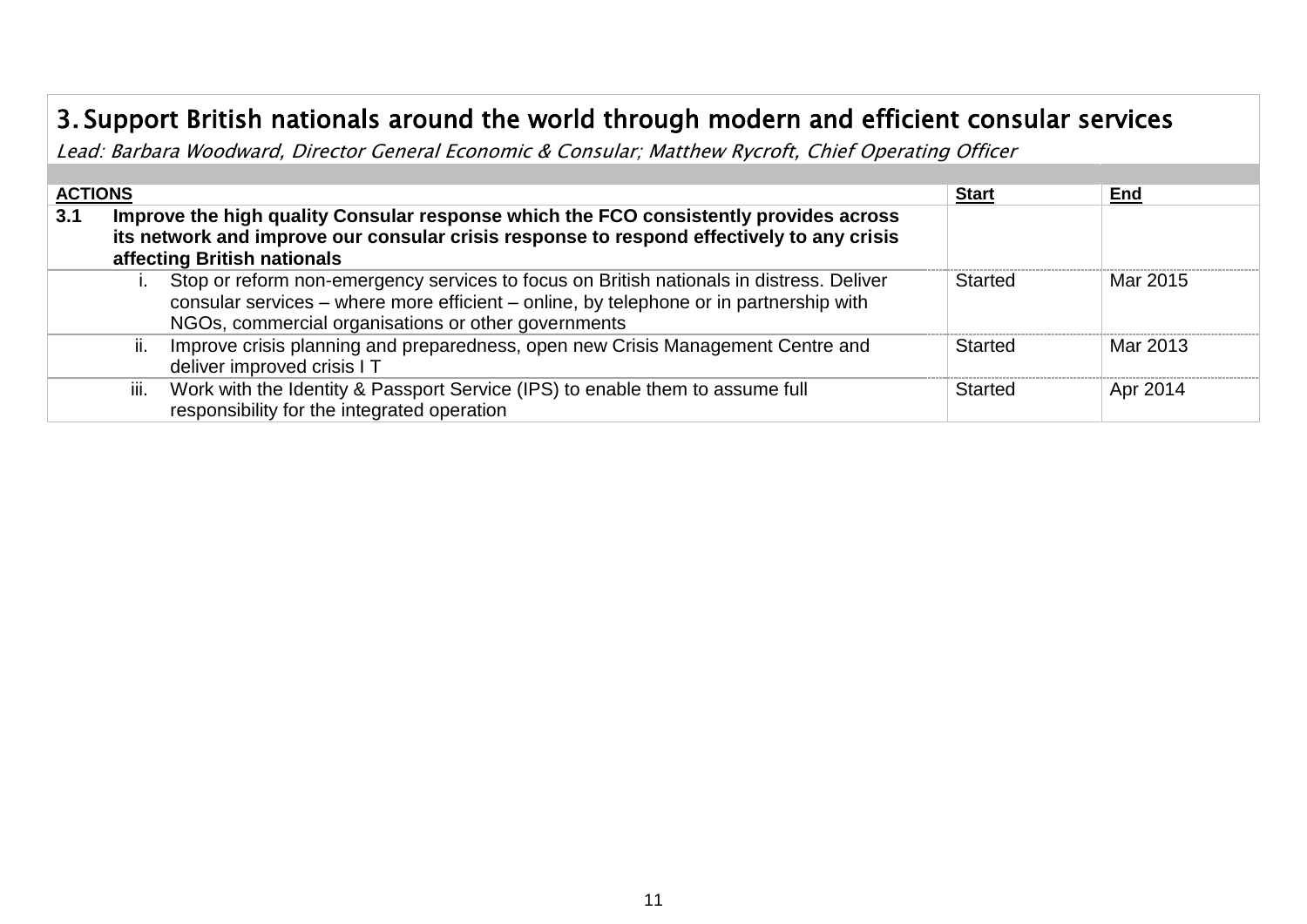## 3. Support British nationals around the world through modern and efficient consular services

Lead: Barbara Woodward, Director General Economic & Consular; Matthew Rycroft, Chief Operating Officer

| <b>ACTIONS</b> |                                                                                                                                                                                                                   |                                                                                                                                                                                                                                           | <b>Start</b> | End      |  |  |  |
|----------------|-------------------------------------------------------------------------------------------------------------------------------------------------------------------------------------------------------------------|-------------------------------------------------------------------------------------------------------------------------------------------------------------------------------------------------------------------------------------------|--------------|----------|--|--|--|
| 3.1            | Improve the high quality Consular response which the FCO consistently provides across<br>its network and improve our consular crisis response to respond effectively to any crisis<br>affecting British nationals |                                                                                                                                                                                                                                           |              |          |  |  |  |
|                |                                                                                                                                                                                                                   | Stop or reform non-emergency services to focus on British nationals in distress. Deliver<br>consular services - where more efficient - online, by telephone or in partnership with<br>NGOs, commercial organisations or other governments | Started      | Mar 2015 |  |  |  |
|                | ii.                                                                                                                                                                                                               | Improve crisis planning and preparedness, open new Crisis Management Centre and<br>deliver improved crisis I T                                                                                                                            | Started      | Mar 2013 |  |  |  |
|                | iii.                                                                                                                                                                                                              | Work with the Identity & Passport Service (IPS) to enable them to assume full<br>responsibility for the integrated operation                                                                                                              | Started      | Apr 2014 |  |  |  |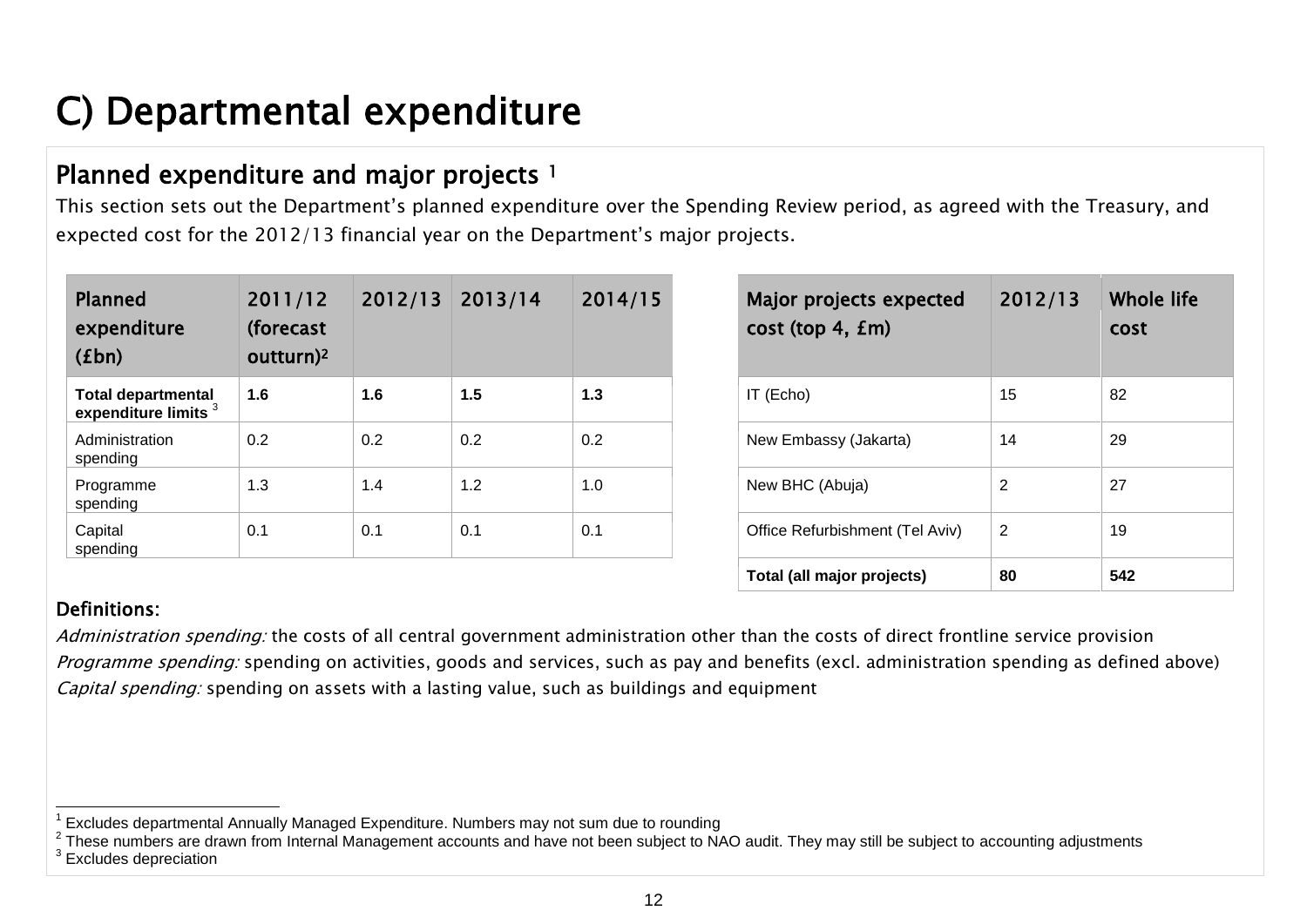# <span id="page-11-0"></span>C) Departmental expenditure

### Planned expenditure and major projects <sup>1</sup>

This section sets out the Department's planned expenditure over the Spending Review period, as agreed with the Treasury, and expected cost for the 2012/13 financial year on the Department's major projects.

| <b>Planned</b><br>expenditure<br>(fbn)                       | 2011/12<br>(forecast<br>outturn) <sup>2</sup> | 2012/13 | 2013/14 | 2014/15 | Major projects expected<br>cost (top 4, fm) | 2012/13 |
|--------------------------------------------------------------|-----------------------------------------------|---------|---------|---------|---------------------------------------------|---------|
| <b>Total departmental</b><br>expenditure limits <sup>3</sup> | 1.6                                           | 1.6     | 1.5     | 1.3     | IT (Echo)                                   | 15      |
| Administration<br>spending                                   | 0.2                                           | 0.2     | 0.2     | 0.2     | New Embassy (Jakarta)                       | 14      |
| Programme<br>spending                                        | 1.3                                           | 1.4     | 1.2     | 1.0     | New BHC (Abuja)                             | 2       |
| Capital<br>spending                                          | 0.1                                           | 0.1     | 0.1     | 0.1     | Office Refurbishment (Tel Aviv)             | 2       |

| Major projects expected<br>cost (top 4, fm) | 2012/13 | Whole life<br>cost |
|---------------------------------------------|---------|--------------------|
| IT (Echo)                                   | 15      | 82                 |
| New Embassy (Jakarta)                       | 14      | 29                 |
| New BHC (Abuja)                             | 2       | 27                 |
| Office Refurbishment (Tel Aviv)             | 2       | 19                 |
| Total (all major projects)                  | 80      | 542                |

#### Definitions:

Administration spending: the costs of all central government administration other than the costs of direct frontline service provision Programme spending: spending on activities, goods and services, such as pay and benefits (excl. administration spending as defined above) Capital spending: spending on assets with a lasting value, such as buildings and equipment

 1 Excludes departmental Annually Managed Expenditure. Numbers may not sum due to rounding

 $^2$  These numbers are drawn from Internal Management accounts and have not been subject to NAO audit. They may still be subject to accounting adjustments  $3$  Excludes depreciation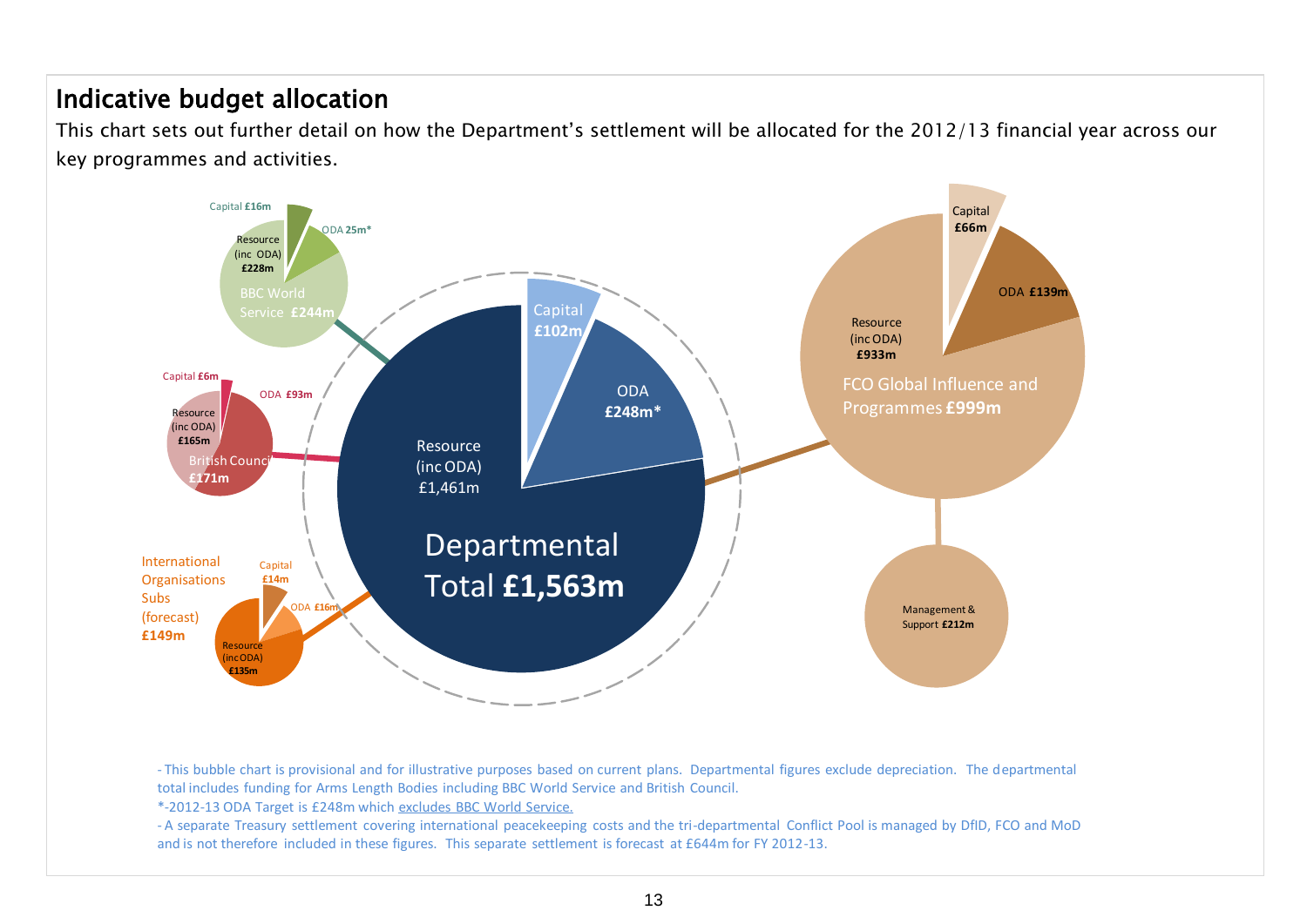#### Indicative budget allocation

This chart sets out further detail on how the Department's settlement will be allocated for the 2012/13 financial year across our key programmes and activities.



- This bubble chart is provisional and for illustrative purposes based on current plans. Departmental figures exclude depreciation. The departmental total includes funding for Arms Length Bodies including BBC World Service and British Council.

\*-2012-13 ODA Target is £248m which excludes BBC World Service.

- A separate Treasury settlement covering international peacekeeping costs and the tri-departmental Conflict Pool is managed by DfID, FCO and MoD and is not therefore included in these figures. This separate settlement is forecast at £644m for FY 2012-13.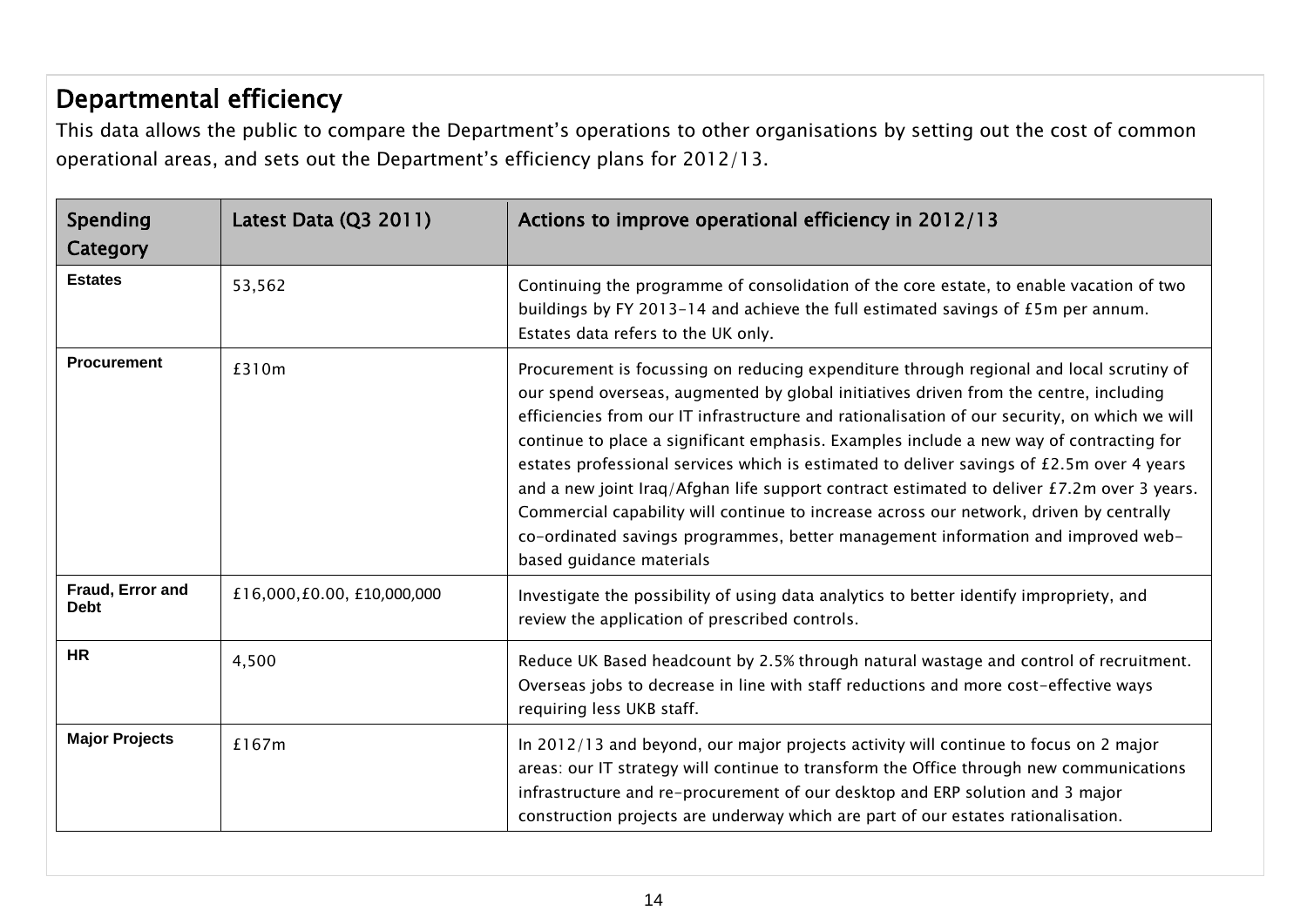## Departmental efficiency

This data allows the public to compare the Department's operations to other organisations by setting out the cost of common operational areas, and sets out the Department's efficiency plans for 2012/13.

| Spending<br>Category            | Latest Data (Q3 2011)      | Actions to improve operational efficiency in 2012/13                                                                                                                                                                                                                                                                                                                                                                                                                                                                                                                                                                                                                                                                                                                               |
|---------------------------------|----------------------------|------------------------------------------------------------------------------------------------------------------------------------------------------------------------------------------------------------------------------------------------------------------------------------------------------------------------------------------------------------------------------------------------------------------------------------------------------------------------------------------------------------------------------------------------------------------------------------------------------------------------------------------------------------------------------------------------------------------------------------------------------------------------------------|
| <b>Estates</b>                  | 53,562                     | Continuing the programme of consolidation of the core estate, to enable vacation of two<br>buildings by FY 2013-14 and achieve the full estimated savings of $£5m$ per annum.<br>Estates data refers to the UK only.                                                                                                                                                                                                                                                                                                                                                                                                                                                                                                                                                               |
| <b>Procurement</b>              | £310m                      | Procurement is focussing on reducing expenditure through regional and local scrutiny of<br>our spend overseas, augmented by global initiatives driven from the centre, including<br>efficiencies from our IT infrastructure and rationalisation of our security, on which we will<br>continue to place a significant emphasis. Examples include a new way of contracting for<br>estates professional services which is estimated to deliver savings of £2.5m over 4 years<br>and a new joint Iraq/Afghan life support contract estimated to deliver £7.2m over 3 years.<br>Commercial capability will continue to increase across our network, driven by centrally<br>co-ordinated savings programmes, better management information and improved web-<br>based guidance materials |
| Fraud, Error and<br><b>Debt</b> | £16,000,£0.00, £10,000,000 | Investigate the possibility of using data analytics to better identify impropriety, and<br>review the application of prescribed controls.                                                                                                                                                                                                                                                                                                                                                                                                                                                                                                                                                                                                                                          |
| <b>HR</b>                       | 4,500                      | Reduce UK Based headcount by 2.5% through natural wastage and control of recruitment.<br>Overseas jobs to decrease in line with staff reductions and more cost-effective ways<br>requiring less UKB staff.                                                                                                                                                                                                                                                                                                                                                                                                                                                                                                                                                                         |
| <b>Major Projects</b>           | £167m                      | In 2012/13 and beyond, our major projects activity will continue to focus on 2 major<br>areas: our IT strategy will continue to transform the Office through new communications<br>infrastructure and re-procurement of our desktop and ERP solution and 3 major<br>construction projects are underway which are part of our estates rationalisation.                                                                                                                                                                                                                                                                                                                                                                                                                              |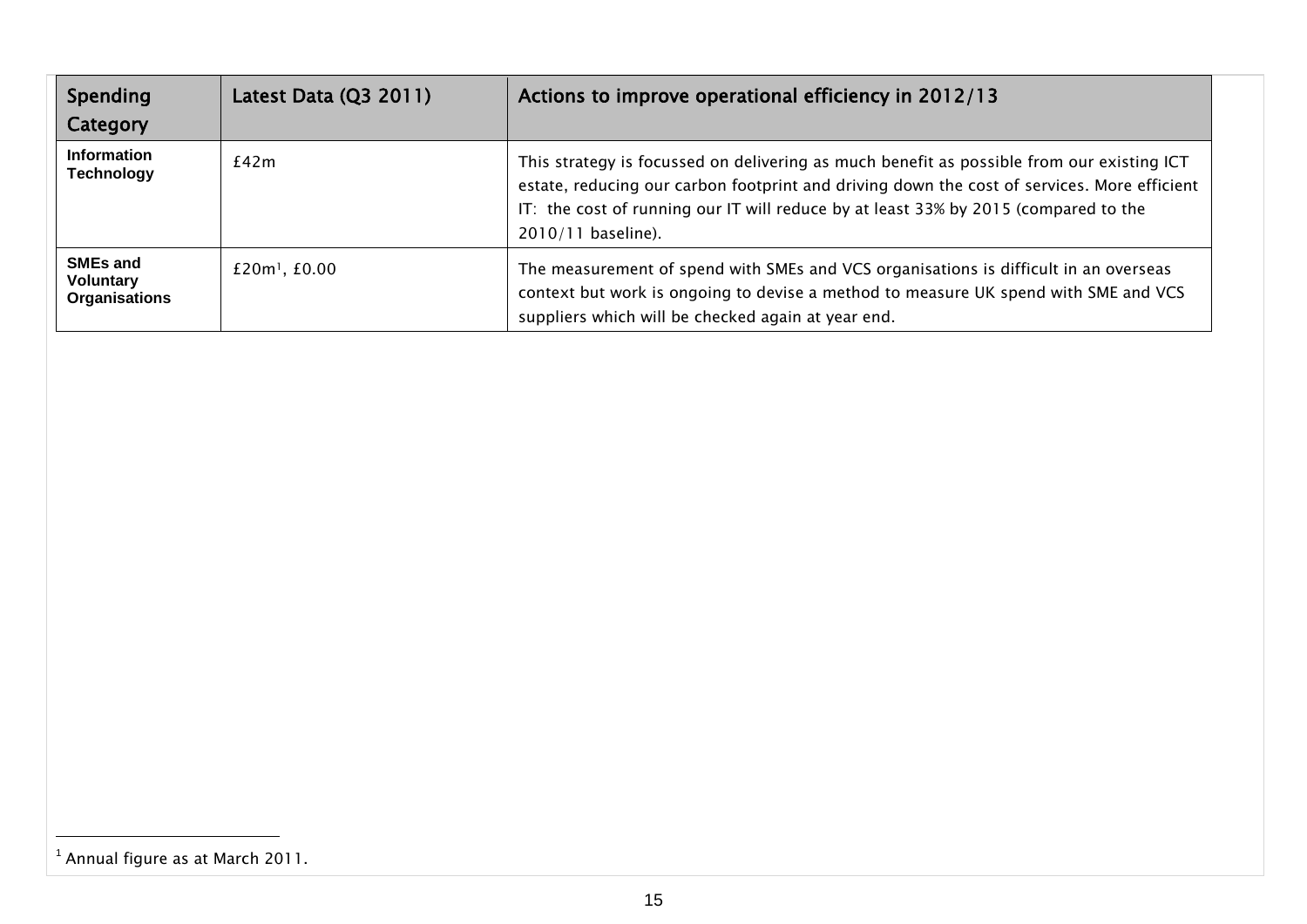| Spending<br>Category                                        | Latest Data $(Q3 2011)$       | Actions to improve operational efficiency in 2012/13                                                                                                                                                                                                                                                  |
|-------------------------------------------------------------|-------------------------------|-------------------------------------------------------------------------------------------------------------------------------------------------------------------------------------------------------------------------------------------------------------------------------------------------------|
| <b>Information</b><br><b>Technology</b>                     | £42m                          | This strategy is focussed on delivering as much benefit as possible from our existing ICT<br>estate, reducing our carbon footprint and driving down the cost of services. More efficient<br>IT: the cost of running our IT will reduce by at least 33% by 2015 (compared to the<br>2010/11 baseline). |
| <b>SMEs and</b><br><b>Voluntary</b><br><b>Organisations</b> | $£20m$ <sup>1</sup> , $£0.00$ | The measurement of spend with SMEs and VCS organisations is difficult in an overseas<br>context but work is ongoing to devise a method to measure UK spend with SME and VCS<br>suppliers which will be checked again at year end.                                                                     |

 $\overline{a}$ 

<sup>&</sup>lt;sup>1</sup> Annual figure as at March 2011.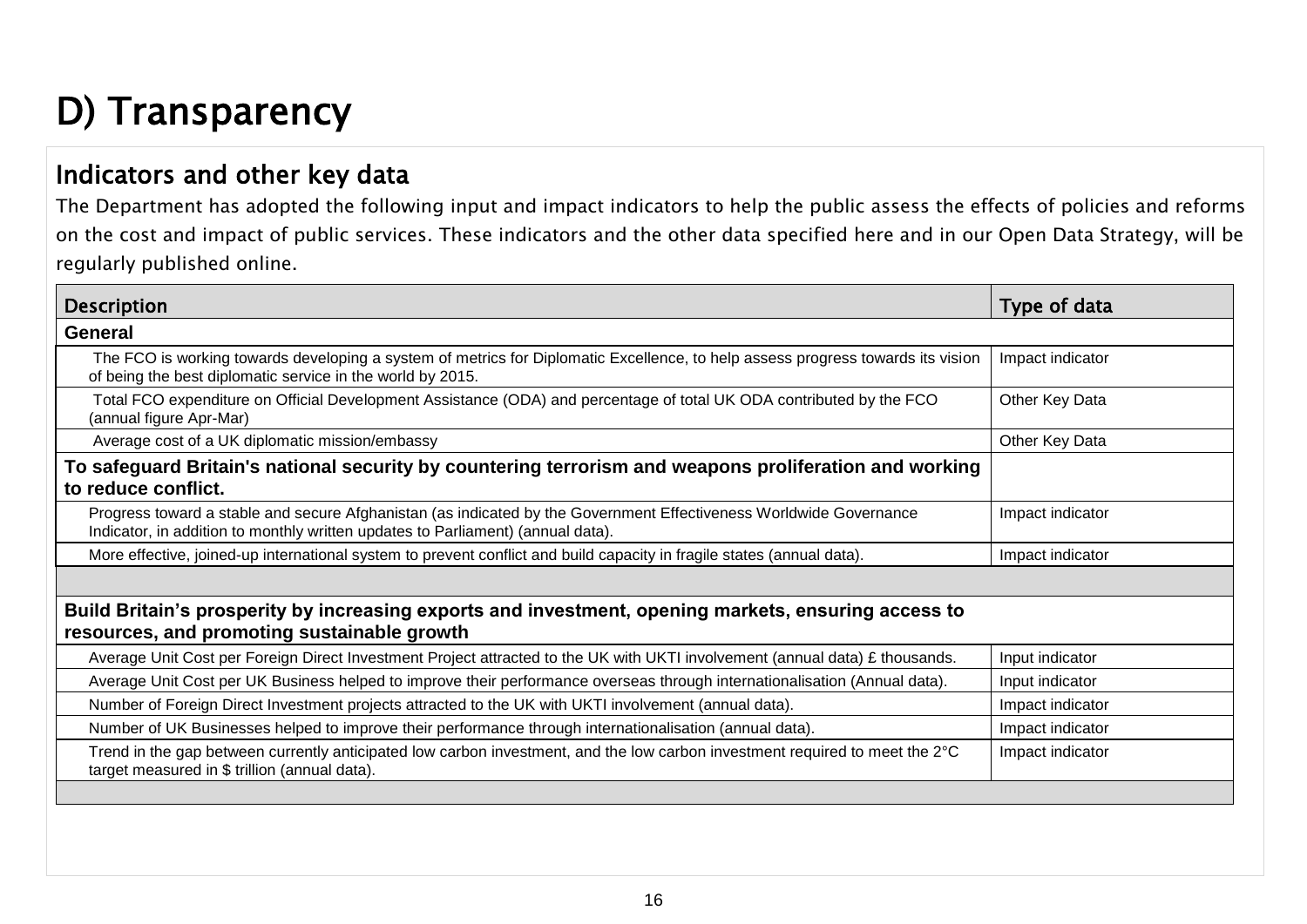# <span id="page-15-0"></span>D) Transparency

### Indicators and other key data

The Department has adopted the following input and impact indicators to help the public assess the effects of policies and reforms on the cost and impact of public services. These indicators and the other data specified here and in our Open Data Strategy, will be regularly published online.

| <b>Description</b>                                                                                                                                                                                    | Type of data     |  |  |  |
|-------------------------------------------------------------------------------------------------------------------------------------------------------------------------------------------------------|------------------|--|--|--|
| <b>General</b>                                                                                                                                                                                        |                  |  |  |  |
| The FCO is working towards developing a system of metrics for Diplomatic Excellence, to help assess progress towards its vision<br>of being the best diplomatic service in the world by 2015.         | Impact indicator |  |  |  |
| Total FCO expenditure on Official Development Assistance (ODA) and percentage of total UK ODA contributed by the FCO<br>(annual figure Apr-Mar)                                                       | Other Key Data   |  |  |  |
| Average cost of a UK diplomatic mission/embassy                                                                                                                                                       | Other Key Data   |  |  |  |
| To safeguard Britain's national security by countering terrorism and weapons proliferation and working<br>to reduce conflict.                                                                         |                  |  |  |  |
| Progress toward a stable and secure Afghanistan (as indicated by the Government Effectiveness Worldwide Governance<br>Indicator, in addition to monthly written updates to Parliament) (annual data). | Impact indicator |  |  |  |
| More effective, joined-up international system to prevent conflict and build capacity in fragile states (annual data).                                                                                | Impact indicator |  |  |  |
|                                                                                                                                                                                                       |                  |  |  |  |
| Build Britain's prosperity by increasing exports and investment, opening markets, ensuring access to                                                                                                  |                  |  |  |  |
| resources, and promoting sustainable growth                                                                                                                                                           |                  |  |  |  |
| Average Unit Cost per Foreign Direct Investment Project attracted to the UK with UKTI involvement (annual data) £ thousands.                                                                          | Input indicator  |  |  |  |
| Average Unit Cost per UK Business helped to improve their performance overseas through internationalisation (Annual data).                                                                            | Input indicator  |  |  |  |
| Number of Foreign Direct Investment projects attracted to the UK with UKTI involvement (annual data).                                                                                                 | Impact indicator |  |  |  |
| Number of UK Businesses helped to improve their performance through internationalisation (annual data).                                                                                               | Impact indicator |  |  |  |
| Trend in the gap between currently anticipated low carbon investment, and the low carbon investment required to meet the 2°C<br>target measured in \$ trillion (annual data).                         | Impact indicator |  |  |  |
|                                                                                                                                                                                                       |                  |  |  |  |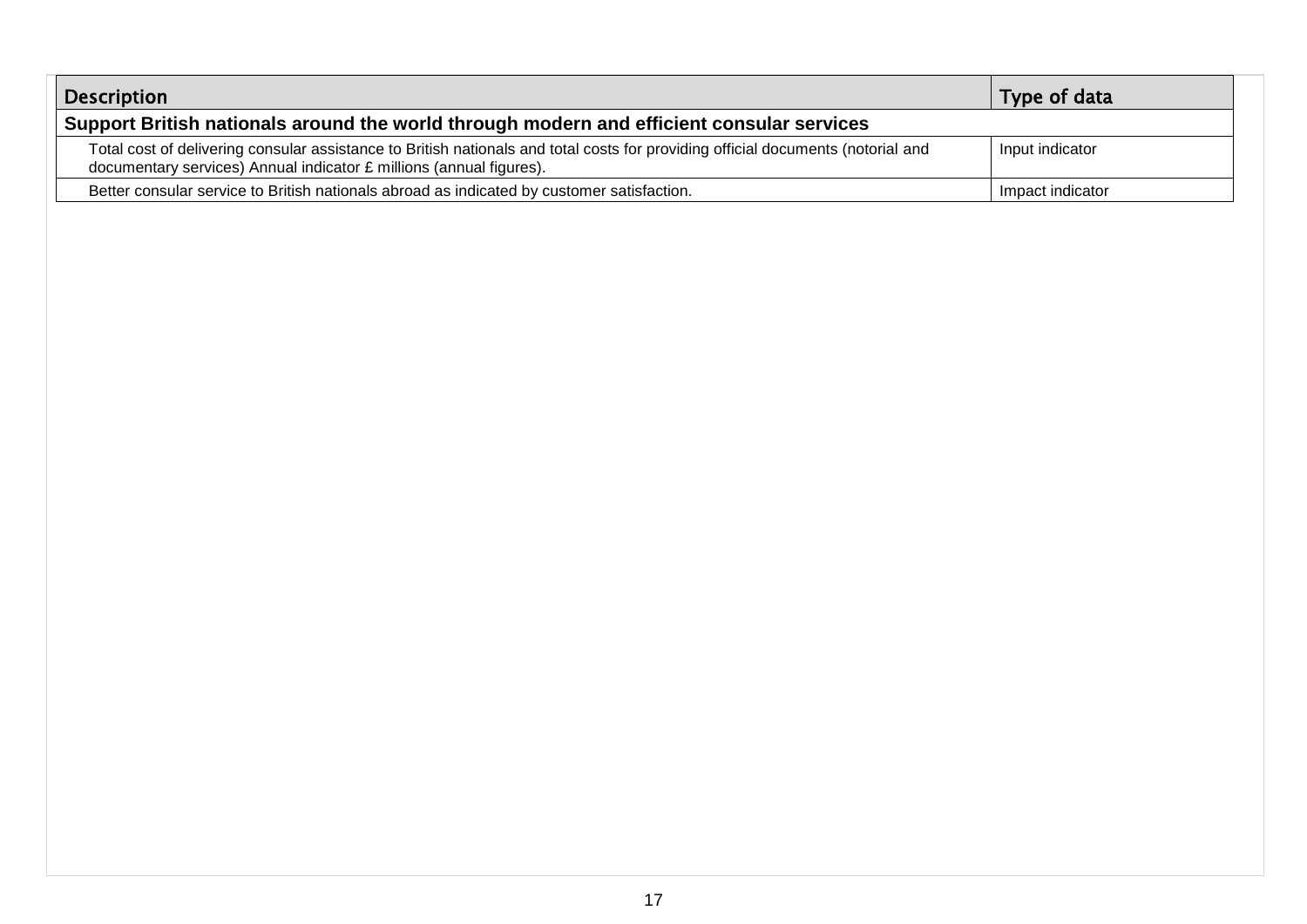| <b>Description</b>                                                                                                                                                                                      | Type of data     |  |  |
|---------------------------------------------------------------------------------------------------------------------------------------------------------------------------------------------------------|------------------|--|--|
| Support British nationals around the world through modern and efficient consular services                                                                                                               |                  |  |  |
| Total cost of delivering consular assistance to British nationals and total costs for providing official documents (notorial and<br>documentary services) Annual indicator £ millions (annual figures). | Input indicator  |  |  |
| Better consular service to British nationals abroad as indicated by customer satisfaction.                                                                                                              | Impact indicator |  |  |